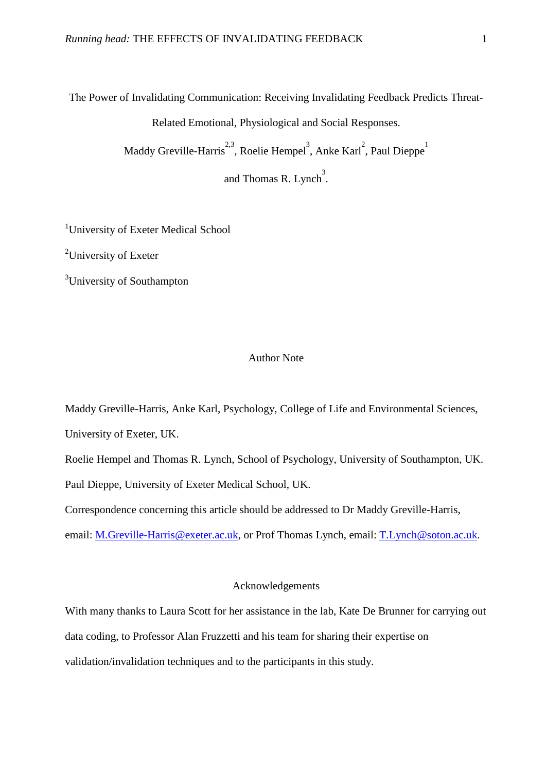The Power of Invalidating Communication: Receiving Invalidating Feedback Predicts Threat-

Related Emotional, Physiological and Social Responses.

Maddy Greville-Harris<sup>2,3</sup>, Roelie Hempel<sup>3</sup>, Anke Karl<sup>2</sup>, Paul Dieppe<sup>1</sup>

and Thomas R. Lynch<sup>3</sup>.

<sup>1</sup>University of Exeter Medical School

<sup>2</sup>University of Exeter

<sup>3</sup>University of Southampton

# Author Note

Maddy Greville-Harris, Anke Karl, Psychology, College of Life and Environmental Sciences, University of Exeter, UK.

Roelie Hempel and Thomas R. Lynch, School of Psychology, University of Southampton, UK. Paul Dieppe, University of Exeter Medical School, UK.

Correspondence concerning this article should be addressed to Dr Maddy Greville-Harris,

email: [M.Greville-Harris@exeter.ac.uk,](mailto:M.Greville-Harris@exeter.ac.uk) or Prof Thomas Lynch, email: [T.Lynch@soton.ac.uk.](mailto:T.Lynch@soton.ac.uk)

## Acknowledgements

With many thanks to Laura Scott for her assistance in the lab, Kate De Brunner for carrying out data coding, to Professor Alan Fruzzetti and his team for sharing their expertise on validation/invalidation techniques and to the participants in this study.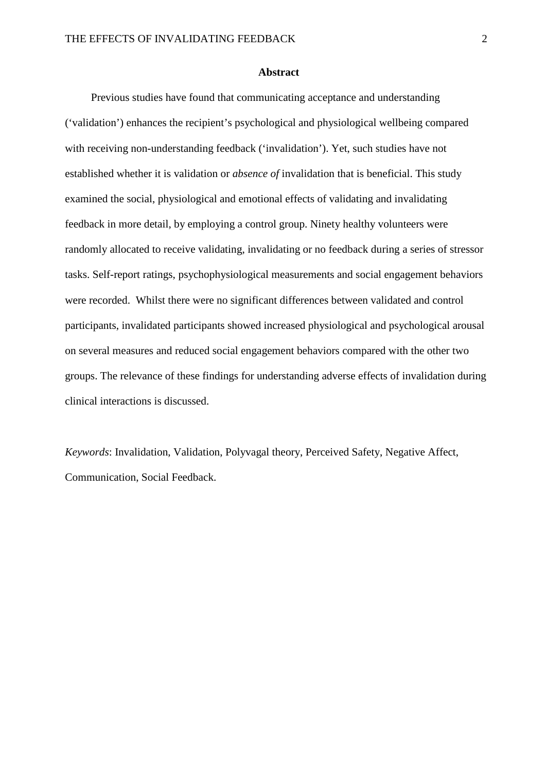#### **Abstract**

Previous studies have found that communicating acceptance and understanding ('validation') enhances the recipient's psychological and physiological wellbeing compared with receiving non-understanding feedback ('invalidation'). Yet, such studies have not established whether it is validation or *absence of* invalidation that is beneficial. This study examined the social, physiological and emotional effects of validating and invalidating feedback in more detail, by employing a control group. Ninety healthy volunteers were randomly allocated to receive validating, invalidating or no feedback during a series of stressor tasks. Self-report ratings, psychophysiological measurements and social engagement behaviors were recorded. Whilst there were no significant differences between validated and control participants, invalidated participants showed increased physiological and psychological arousal on several measures and reduced social engagement behaviors compared with the other two groups. The relevance of these findings for understanding adverse effects of invalidation during clinical interactions is discussed.

*Keywords*: Invalidation, Validation, Polyvagal theory, Perceived Safety, Negative Affect, Communication, Social Feedback.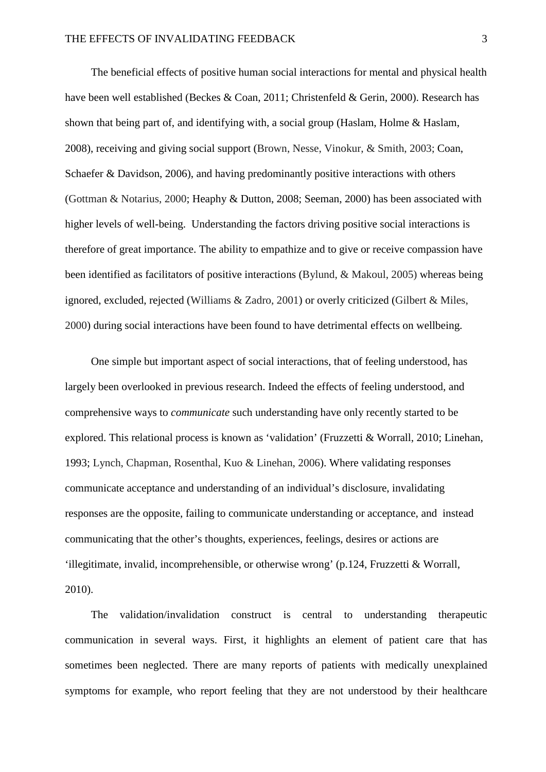The beneficial effects of positive human social interactions for mental and physical health have been well established (Beckes & Coan, 2011; Christenfeld & Gerin, 2000). Research has shown that being part of, and identifying with, a social group (Haslam, Holme & Haslam, 2008), receiving and giving social support (Brown, Nesse, Vinokur, & Smith, 2003; Coan, Schaefer & Davidson, 2006), and having predominantly positive interactions with others (Gottman & Notarius, 2000; Heaphy & Dutton, 2008; Seeman, 2000) has been associated with higher levels of well-being. Understanding the factors driving positive social interactions is therefore of great importance. The ability to empathize and to give or receive compassion have been identified as facilitators of positive interactions (Bylund, & Makoul, 2005) whereas being ignored, excluded, rejected (Williams & Zadro, 2001) or overly criticized (Gilbert & Miles, 2000) during social interactions have been found to have detrimental effects on wellbeing.

One simple but important aspect of social interactions, that of feeling understood, has largely been overlooked in previous research. Indeed the effects of feeling understood, and comprehensive ways to *communicate* such understanding have only recently started to be explored. This relational process is known as 'validation' (Fruzzetti & Worrall, 2010; Linehan, 1993; Lynch, Chapman, Rosenthal, Kuo & Linehan, 2006). Where validating responses communicate acceptance and understanding of an individual's disclosure, invalidating responses are the opposite, failing to communicate understanding or acceptance, and instead communicating that the other's thoughts, experiences, feelings, desires or actions are 'illegitimate, invalid, incomprehensible, or otherwise wrong' (p.124, Fruzzetti & Worrall, 2010).

The validation/invalidation construct is central to understanding therapeutic communication in several ways. First, it highlights an element of patient care that has sometimes been neglected. There are many reports of patients with medically unexplained symptoms for example, who report feeling that they are not understood by their healthcare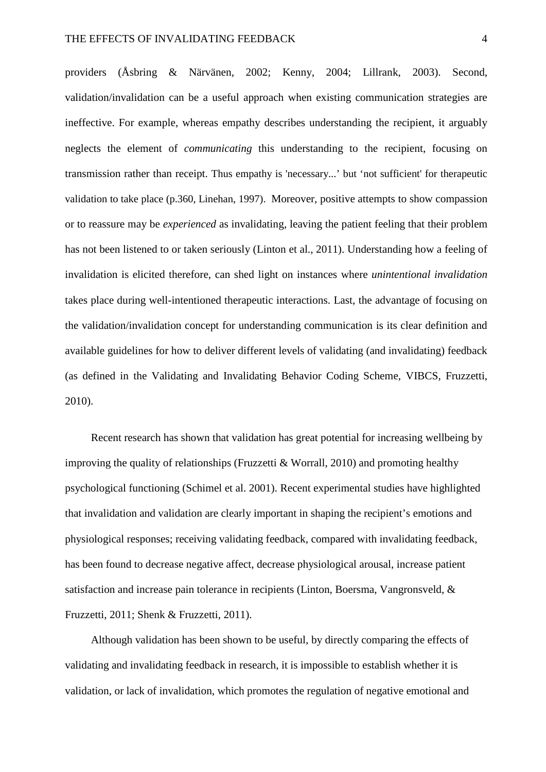providers (Åsbring & Närvänen, 2002; Kenny, 2004; Lillrank, 2003). Second, validation/invalidation can be a useful approach when existing communication strategies are ineffective. For example, whereas empathy describes understanding the recipient, it arguably neglects the element of *communicating* this understanding to the recipient, focusing on transmission rather than receipt. Thus empathy is 'necessary...' but 'not sufficient' for therapeutic validation to take place (p.360, Linehan, 1997). Moreover, positive attempts to show compassion or to reassure may be *experienced* as invalidating, leaving the patient feeling that their problem has not been listened to or taken seriously (Linton et al., 2011). Understanding how a feeling of invalidation is elicited therefore, can shed light on instances where *unintentional invalidation* takes place during well-intentioned therapeutic interactions. Last, the advantage of focusing on the validation/invalidation concept for understanding communication is its clear definition and available guidelines for how to deliver different levels of validating (and invalidating) feedback (as defined in the Validating and Invalidating Behavior Coding Scheme, VIBCS, Fruzzetti, 2010).

Recent research has shown that validation has great potential for increasing wellbeing by improving the quality of relationships (Fruzzetti & Worrall, 2010) and promoting healthy psychological functioning (Schimel et al. 2001). Recent experimental studies have highlighted that invalidation and validation are clearly important in shaping the recipient's emotions and physiological responses; receiving validating feedback, compared with invalidating feedback, has been found to decrease negative affect, decrease physiological arousal, increase patient satisfaction and increase pain tolerance in recipients (Linton, Boersma, Vangronsveld, & Fruzzetti, 2011; Shenk & Fruzzetti, 2011).

Although validation has been shown to be useful, by directly comparing the effects of validating and invalidating feedback in research, it is impossible to establish whether it is validation, or lack of invalidation, which promotes the regulation of negative emotional and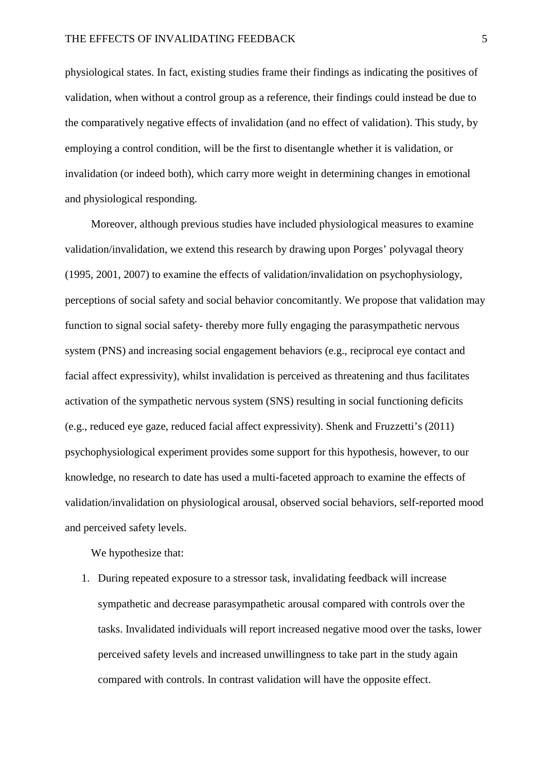physiological states. In fact, existing studies frame their findings as indicating the positives of validation, when without a control group as a reference, their findings could instead be due to the comparatively negative effects of invalidation (and no effect of validation). This study, by employing a control condition, will be the first to disentangle whether it is validation, or invalidation (or indeed both), which carry more weight in determining changes in emotional and physiological responding.

Moreover, although previous studies have included physiological measures to examine validation/invalidation, we extend this research by drawing upon Porges' polyvagal theory (1995, 2001, 2007) to examine the effects of validation/invalidation on psychophysiology, perceptions of social safety and social behavior concomitantly. We propose that validation may function to signal social safety- thereby more fully engaging the parasympathetic nervous system (PNS) and increasing social engagement behaviors (e.g., reciprocal eye contact and facial affect expressivity), whilst invalidation is perceived as threatening and thus facilitates activation of the sympathetic nervous system (SNS) resulting in social functioning deficits (e.g., reduced eye gaze, reduced facial affect expressivity). Shenk and Fruzzetti's (2011) psychophysiological experiment provides some support for this hypothesis, however, to our knowledge, no research to date has used a multi-faceted approach to examine the effects of validation/invalidation on physiological arousal, observed social behaviors, self-reported mood and perceived safety levels.

We hypothesize that:

1. During repeated exposure to a stressor task, invalidating feedback will increase sympathetic and decrease parasympathetic arousal compared with controls over the tasks. Invalidated individuals will report increased negative mood over the tasks, lower perceived safety levels and increased unwillingness to take part in the study again compared with controls. In contrast validation will have the opposite effect.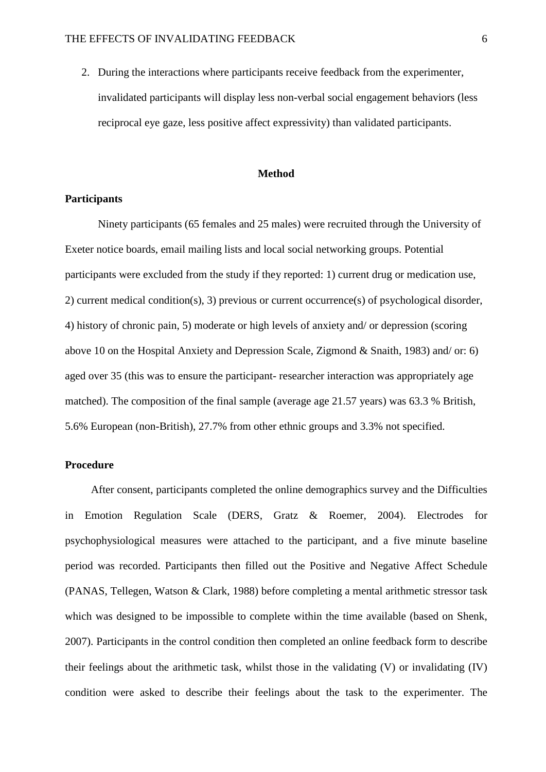2. During the interactions where participants receive feedback from the experimenter, invalidated participants will display less non-verbal social engagement behaviors (less reciprocal eye gaze, less positive affect expressivity) than validated participants.

#### **Method**

# **Participants**

Ninety participants (65 females and 25 males) were recruited through the University of Exeter notice boards, email mailing lists and local social networking groups. Potential participants were excluded from the study if they reported: 1) current drug or medication use, 2) current medical condition(s), 3) previous or current occurrence(s) of psychological disorder, 4) history of chronic pain, 5) moderate or high levels of anxiety and/ or depression (scoring above 10 on the Hospital Anxiety and Depression Scale, Zigmond & Snaith, 1983) and/ or: 6) aged over 35 (this was to ensure the participant- researcher interaction was appropriately age matched). The composition of the final sample (average age 21.57 years) was 63.3 % British, 5.6% European (non-British), 27.7% from other ethnic groups and 3.3% not specified.

### **Procedure**

After consent, participants completed the online demographics survey and the Difficulties in Emotion Regulation Scale (DERS, Gratz & Roemer, 2004). Electrodes for psychophysiological measures were attached to the participant, and a five minute baseline period was recorded. Participants then filled out the Positive and Negative Affect Schedule (PANAS, Tellegen, Watson & Clark, 1988) before completing a mental arithmetic stressor task which was designed to be impossible to complete within the time available (based on Shenk, 2007). Participants in the control condition then completed an online feedback form to describe their feelings about the arithmetic task, whilst those in the validating (V) or invalidating (IV) condition were asked to describe their feelings about the task to the experimenter. The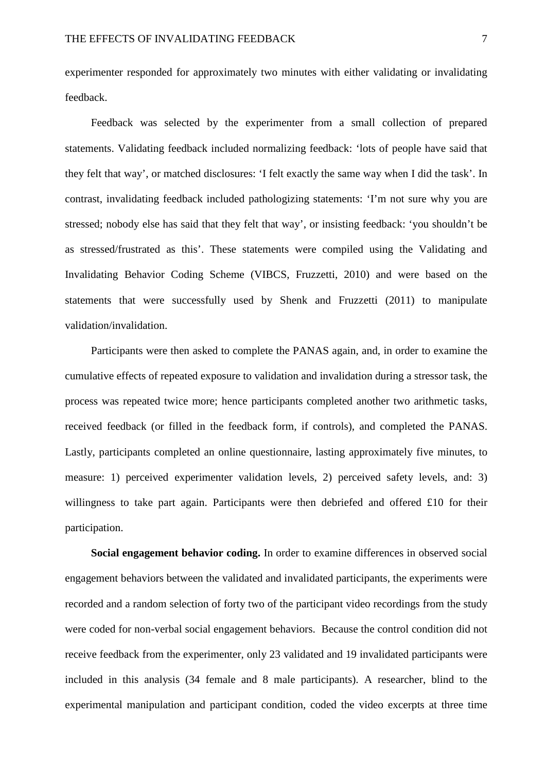experimenter responded for approximately two minutes with either validating or invalidating feedback.

Feedback was selected by the experimenter from a small collection of prepared statements. Validating feedback included normalizing feedback: 'lots of people have said that they felt that way', or matched disclosures: 'I felt exactly the same way when I did the task'. In contrast, invalidating feedback included pathologizing statements: 'I'm not sure why you are stressed; nobody else has said that they felt that way', or insisting feedback: 'you shouldn't be as stressed/frustrated as this'. These statements were compiled using the Validating and Invalidating Behavior Coding Scheme (VIBCS, Fruzzetti, 2010) and were based on the statements that were successfully used by Shenk and Fruzzetti (2011) to manipulate validation/invalidation.

Participants were then asked to complete the PANAS again, and, in order to examine the cumulative effects of repeated exposure to validation and invalidation during a stressor task, the process was repeated twice more; hence participants completed another two arithmetic tasks, received feedback (or filled in the feedback form, if controls), and completed the PANAS. Lastly, participants completed an online questionnaire, lasting approximately five minutes, to measure: 1) perceived experimenter validation levels, 2) perceived safety levels, and: 3) willingness to take part again. Participants were then debriefed and offered £10 for their participation.

**Social engagement behavior coding.** In order to examine differences in observed social engagement behaviors between the validated and invalidated participants, the experiments were recorded and a random selection of forty two of the participant video recordings from the study were coded for non-verbal social engagement behaviors. Because the control condition did not receive feedback from the experimenter, only 23 validated and 19 invalidated participants were included in this analysis (34 female and 8 male participants). A researcher, blind to the experimental manipulation and participant condition, coded the video excerpts at three time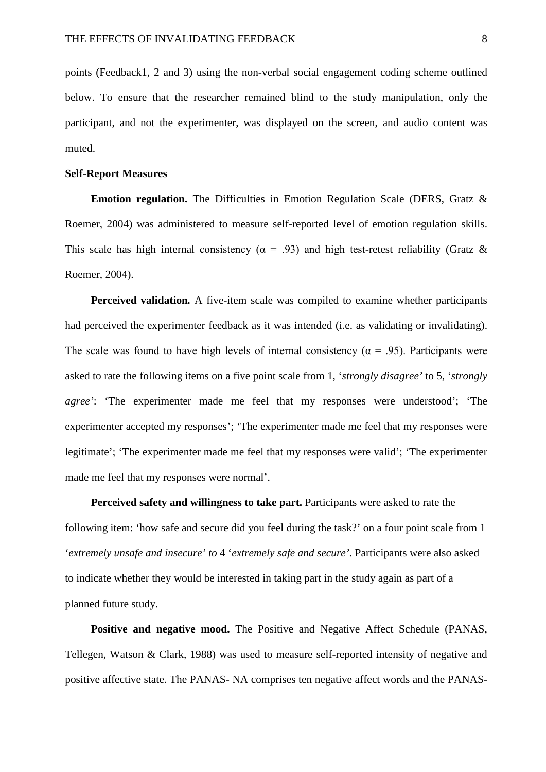points (Feedback1, 2 and 3) using the non-verbal social engagement coding scheme outlined below. To ensure that the researcher remained blind to the study manipulation, only the participant, and not the experimenter, was displayed on the screen, and audio content was muted.

### **Self-Report Measures**

**Emotion regulation.** The Difficulties in Emotion Regulation Scale (DERS, Gratz & Roemer, 2004) was administered to measure self-reported level of emotion regulation skills. This scale has high internal consistency ( $\alpha$  = .93) and high test-retest reliability (Gratz & Roemer, 2004).

**Perceived validation***.* A five-item scale was compiled to examine whether participants had perceived the experimenter feedback as it was intended (i.e. as validating or invalidating). The scale was found to have high levels of internal consistency ( $\alpha$  = .95). Participants were asked to rate the following items on a five point scale from 1, '*strongly disagree'* to 5, '*strongly agree'*: 'The experimenter made me feel that my responses were understood'; 'The experimenter accepted my responses'; 'The experimenter made me feel that my responses were legitimate'; 'The experimenter made me feel that my responses were valid'; 'The experimenter made me feel that my responses were normal'.

**Perceived safety and willingness to take part.** Participants were asked to rate the following item: 'how safe and secure did you feel during the task?' on a four point scale from 1 '*extremely unsafe and insecure' to* 4 '*extremely safe and secure'.* Participants were also asked to indicate whether they would be interested in taking part in the study again as part of a planned future study.

Positive and negative mood. The Positive and Negative Affect Schedule (PANAS, Tellegen, Watson & Clark, 1988) was used to measure self-reported intensity of negative and positive affective state. The PANAS- NA comprises ten negative affect words and the PANAS-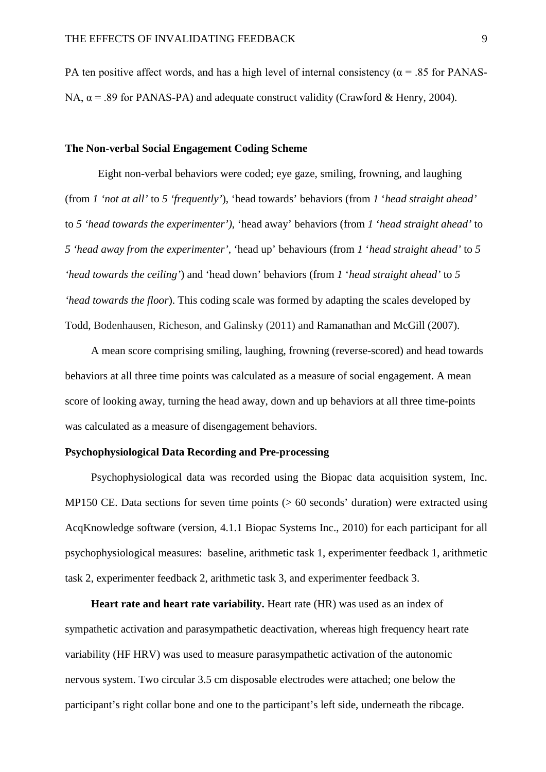PA ten positive affect words, and has a high level of internal consistency ( $\alpha$  = .85 for PANAS-NA,  $\alpha$  = .89 for PANAS-PA) and adequate construct validity (Crawford & Henry, 2004).

### **The Non-verbal Social Engagement Coding Scheme**

Eight non-verbal behaviors were coded; eye gaze, smiling, frowning, and laughing (from *1 'not at all'* to *5 'frequently'*), 'head towards' behaviors (from *1* '*head straight ahead'*  to *5 'head towards the experimenter')*, 'head away' behaviors (from *1* '*head straight ahead'* to *5 'head away from the experimenter'*, 'head up' behaviours (from *1* '*head straight ahead'* to *5 'head towards the ceiling'*) and 'head down' behaviors (from *1* '*head straight ahead'* to *5 'head towards the floor*). This coding scale was formed by adapting the scales developed by Todd, Bodenhausen, Richeson, and Galinsky (2011) and Ramanathan and McGill (2007).

A mean score comprising smiling, laughing, frowning (reverse-scored) and head towards behaviors at all three time points was calculated as a measure of social engagement. A mean score of looking away, turning the head away, down and up behaviors at all three time-points was calculated as a measure of disengagement behaviors.

# **Psychophysiological Data Recording and Pre-processing**

Psychophysiological data was recorded using the Biopac data acquisition system, Inc. MP150 CE. Data sections for seven time points (> 60 seconds' duration) were extracted using AcqKnowledge software (version, 4.1.1 Biopac Systems Inc., 2010) for each participant for all psychophysiological measures: baseline, arithmetic task 1, experimenter feedback 1, arithmetic task 2, experimenter feedback 2, arithmetic task 3, and experimenter feedback 3.

**Heart rate and heart rate variability.** Heart rate (HR) was used as an index of sympathetic activation and parasympathetic deactivation, whereas high frequency heart rate variability (HF HRV) was used to measure parasympathetic activation of the autonomic nervous system. Two circular 3.5 cm disposable electrodes were attached; one below the participant's right collar bone and one to the participant's left side, underneath the ribcage.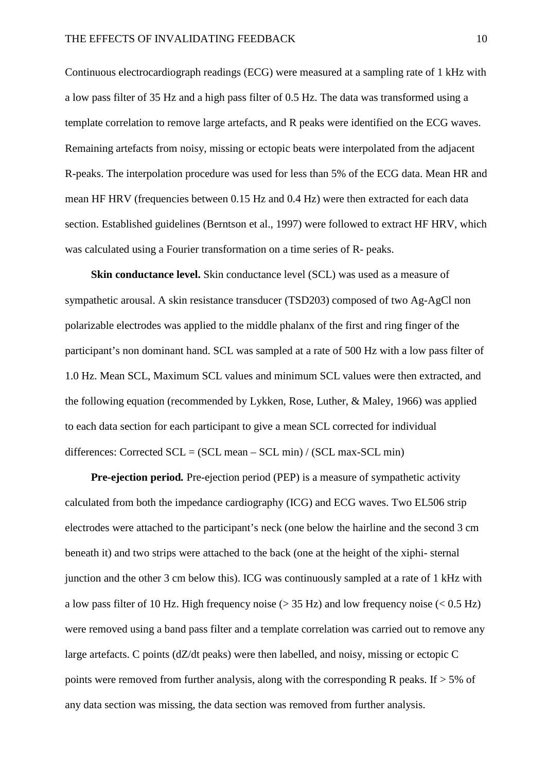Continuous electrocardiograph readings (ECG) were measured at a sampling rate of 1 kHz with a low pass filter of 35 Hz and a high pass filter of 0.5 Hz. The data was transformed using a template correlation to remove large artefacts, and R peaks were identified on the ECG waves. Remaining artefacts from noisy, missing or ectopic beats were interpolated from the adjacent R-peaks. The interpolation procedure was used for less than 5% of the ECG data. Mean HR and mean HF HRV (frequencies between 0.15 Hz and 0.4 Hz) were then extracted for each data section. Established guidelines (Berntson et al., 1997) were followed to extract HF HRV, which was calculated using a Fourier transformation on a time series of R- peaks.

**Skin conductance level.** Skin conductance level (SCL) was used as a measure of sympathetic arousal. A skin resistance transducer (TSD203) composed of two Ag-AgCl non polarizable electrodes was applied to the middle phalanx of the first and ring finger of the participant's non dominant hand. SCL was sampled at a rate of 500 Hz with a low pass filter of 1.0 Hz. Mean SCL, Maximum SCL values and minimum SCL values were then extracted, and the following equation (recommended by Lykken, Rose, Luther, & Maley, 1966) was applied to each data section for each participant to give a mean SCL corrected for individual differences: Corrected  $SCL = (SCL mean - SCL min) / (SCL max-SCL min)$ 

**Pre-ejection period***.* Pre-ejection period (PEP) is a measure of sympathetic activity calculated from both the impedance cardiography (ICG) and ECG waves. Two EL506 strip electrodes were attached to the participant's neck (one below the hairline and the second 3 cm beneath it) and two strips were attached to the back (one at the height of the xiphi- sternal junction and the other 3 cm below this). ICG was continuously sampled at a rate of 1 kHz with a low pass filter of 10 Hz. High frequency noise ( $> 35$  Hz) and low frequency noise ( $< 0.5$  Hz) were removed using a band pass filter and a template correlation was carried out to remove any large artefacts. C points (dZ/dt peaks) were then labelled, and noisy, missing or ectopic C points were removed from further analysis, along with the corresponding R peaks. If  $> 5\%$  of any data section was missing, the data section was removed from further analysis.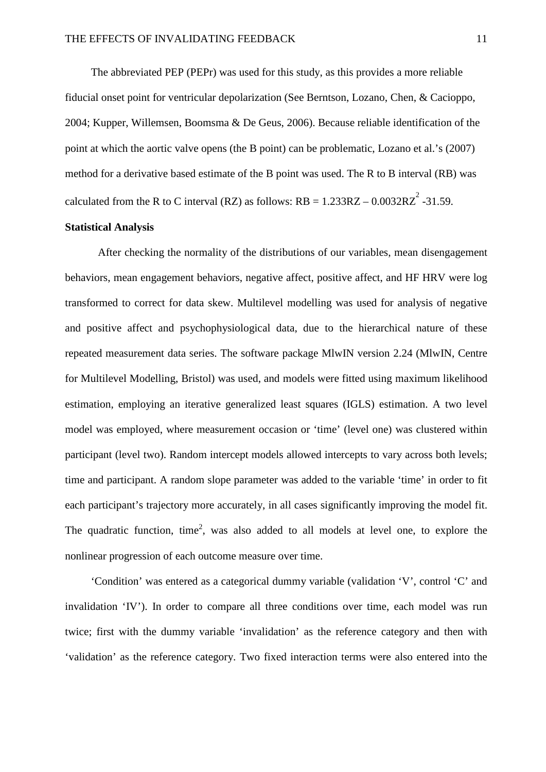The abbreviated PEP (PEPr) was used for this study, as this provides a more reliable fiducial onset point for ventricular depolarization (See Berntson, Lozano, Chen, & Cacioppo, 2004; Kupper, Willemsen, Boomsma & De Geus, 2006). Because reliable identification of the point at which the aortic valve opens (the B point) can be problematic, Lozano et al.'s (2007) method for a derivative based estimate of the B point was used. The R to B interval (RB) was calculated from the R to C interval (RZ) as follows:  $RB = 1.233RZ - 0.0032RZ^2 - 31.59$ .

# **Statistical Analysis**

After checking the normality of the distributions of our variables, mean disengagement behaviors, mean engagement behaviors, negative affect, positive affect, and HF HRV were log transformed to correct for data skew. Multilevel modelling was used for analysis of negative and positive affect and psychophysiological data, due to the hierarchical nature of these repeated measurement data series. The software package MlwIN version 2.24 (MlwIN, Centre for Multilevel Modelling, Bristol) was used, and models were fitted using maximum likelihood estimation, employing an iterative generalized least squares (IGLS) estimation. A two level model was employed, where measurement occasion or 'time' (level one) was clustered within participant (level two). Random intercept models allowed intercepts to vary across both levels; time and participant. A random slope parameter was added to the variable 'time' in order to fit each participant's trajectory more accurately, in all cases significantly improving the model fit. The quadratic function, time<sup>2</sup>, was also added to all models at level one, to explore the nonlinear progression of each outcome measure over time.

'Condition' was entered as a categorical dummy variable (validation 'V', control 'C' and invalidation 'IV'). In order to compare all three conditions over time, each model was run twice; first with the dummy variable 'invalidation' as the reference category and then with 'validation' as the reference category. Two fixed interaction terms were also entered into the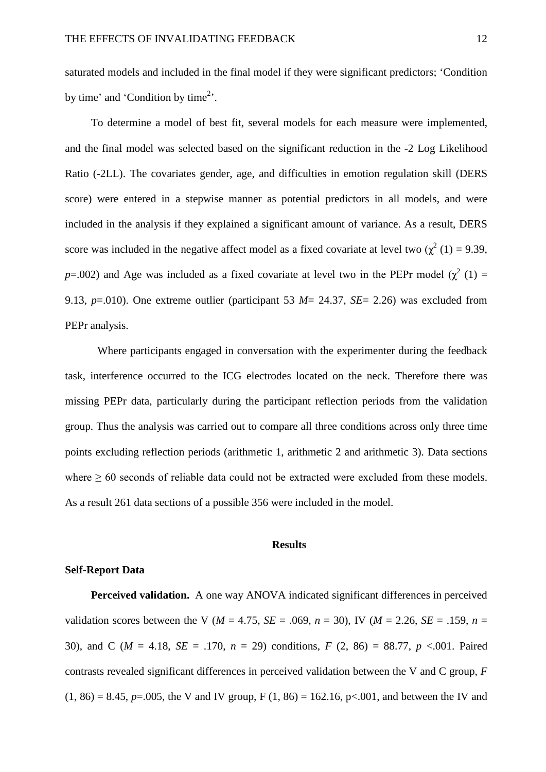saturated models and included in the final model if they were significant predictors; 'Condition by time' and 'Condition by time<sup>2</sup>'.

To determine a model of best fit, several models for each measure were implemented, and the final model was selected based on the significant reduction in the -2 Log Likelihood Ratio (-2LL). The covariates gender, age, and difficulties in emotion regulation skill (DERS score) were entered in a stepwise manner as potential predictors in all models, and were included in the analysis if they explained a significant amount of variance. As a result, DERS score was included in the negative affect model as a fixed covariate at level two ( $\chi^2$  (1) = 9.39, *p*=.002) and Age was included as a fixed covariate at level two in the PEPr model ( $\chi^2$  (1) = 9.13, *p*=.010). One extreme outlier (participant 53 *M*= 24.37, *SE*= 2.26) was excluded from PEPr analysis.

Where participants engaged in conversation with the experimenter during the feedback task, interference occurred to the ICG electrodes located on the neck. Therefore there was missing PEPr data, particularly during the participant reflection periods from the validation group. Thus the analysis was carried out to compare all three conditions across only three time points excluding reflection periods (arithmetic 1, arithmetic 2 and arithmetic 3). Data sections where  $\geq 60$  seconds of reliable data could not be extracted were excluded from these models. As a result 261 data sections of a possible 356 were included in the model.

#### **Results**

### **Self-Report Data**

**Perceived validation.** A one way ANOVA indicated significant differences in perceived validation scores between the V ( $M = 4.75$ ,  $SE = .069$ ,  $n = 30$ ), IV ( $M = 2.26$ ,  $SE = .159$ ,  $n =$ 30), and C (*M* = 4.18, *SE* = .170, *n* = 29) conditions, *F* (2, 86) = 88.77, *p* <.001. Paired contrasts revealed significant differences in perceived validation between the V and C group, *F*  $(1, 86) = 8.45$ ,  $p = .005$ , the V and IV group, F  $(1, 86) = 162.16$ , p<.001, and between the IV and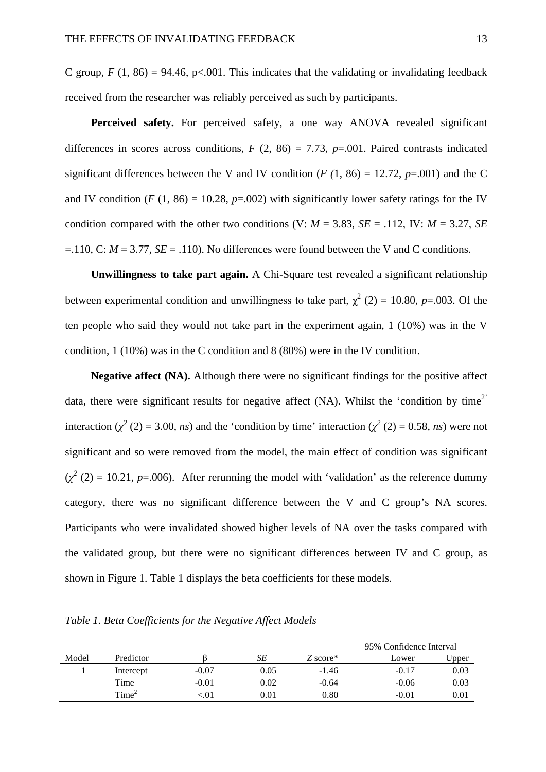C group,  $F(1, 86) = 94.46$ , p<.001. This indicates that the validating or invalidating feedback received from the researcher was reliably perceived as such by participants.

**Perceived safety.** For perceived safety, a one way ANOVA revealed significant differences in scores across conditions,  $F(2, 86) = 7.73$ ,  $p=0.001$ . Paired contrasts indicated significant differences between the V and IV condition ( $F(1, 86) = 12.72$ ,  $p=0.001$ ) and the C and IV condition ( $F(1, 86) = 10.28$ ,  $p = .002$ ) with significantly lower safety ratings for the IV condition compared with the other two conditions (V:  $M = 3.83$ ,  $SE = .112$ , IV:  $M = 3.27$ , *SE*  $=$ .110, C:  $M = 3.77$ ,  $SE = .110$ ). No differences were found between the V and C conditions.

**Unwillingness to take part again.** A Chi-Square test revealed a significant relationship between experimental condition and unwillingness to take part,  $\gamma^2$  (2) = 10.80, *p*=.003. Of the ten people who said they would not take part in the experiment again, 1 (10%) was in the V condition, 1 (10%) was in the C condition and 8 (80%) were in the IV condition.

**Negative affect (NA).** Although there were no significant findings for the positive affect data, there were significant results for negative affect  $(NA)$ . Whilst the 'condition by time<sup>2'</sup> interaction ( $\chi^2$  (2) = 3.00, *ns*) and the 'condition by time' interaction ( $\chi^2$  (2) = 0.58, *ns*) were not significant and so were removed from the model, the main effect of condition was significant  $(\chi^2(2) = 10.21, p = .006)$ . After rerunning the model with 'validation' as the reference dummy category, there was no significant difference between the V and C group's NA scores. Participants who were invalidated showed higher levels of NA over the tasks compared with the validated group, but there were no significant differences between IV and C group, as shown in Figure 1. Table 1 displays the beta coefficients for these models.

|       |                   |          |            |            | 95% Confidence Interval |             |
|-------|-------------------|----------|------------|------------|-------------------------|-------------|
| Model | Predictor         |          | SE         | $Z$ score* | Lower                   | $\cup$ pper |
|       | Intercept         | $-0.07$  | 0.05       | $-1.46$    | $-0.17$                 | 0.03        |
|       | Time              | $-0.01$  | 0.02       | $-0.64$    | $-0.06$                 | 0.03        |
|       | Time <sup>2</sup> | ${<}.01$ | $\rm 0.01$ | 0.80       | $-0.01$                 | 0.01        |

*Table 1. Beta Coefficients for the Negative Affect Models*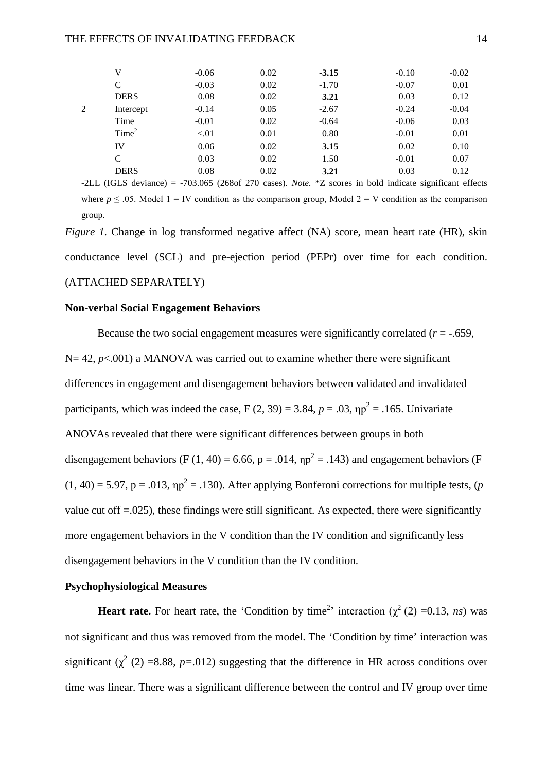|   | V                 | $-0.06$ | 0.02 | $-3.15$ | $-0.10$ | $-0.02$ |
|---|-------------------|---------|------|---------|---------|---------|
|   | C                 | $-0.03$ | 0.02 | $-1.70$ | $-0.07$ | 0.01    |
|   | <b>DERS</b>       | 0.08    | 0.02 | 3.21    | 0.03    | 0.12    |
| 2 | Intercept         | $-0.14$ | 0.05 | $-2.67$ | $-0.24$ | $-0.04$ |
|   | Time              | $-0.01$ | 0.02 | $-0.64$ | $-0.06$ | 0.03    |
|   | Time <sup>2</sup> | < 01    | 0.01 | 0.80    | $-0.01$ | 0.01    |
|   | IV                | 0.06    | 0.02 | 3.15    | 0.02    | 0.10    |
|   | C                 | 0.03    | 0.02 | 1.50    | $-0.01$ | 0.07    |
|   | <b>DERS</b>       | 0.08    | 0.02 | 3.21    | 0.03    | 0.12    |
|   |                   |         |      |         |         |         |

-2LL (IGLS deviance) = -703.065 (268of 270 cases). *Note.* \*Z scores in bold indicate significant effects where  $p \le 0.05$ . Model 1 = IV condition as the comparison group, Model 2 = V condition as the comparison group.

*Figure 1.* Change in log transformed negative affect (NA) score, mean heart rate (HR), skin conductance level (SCL) and pre-ejection period (PEPr) over time for each condition. (ATTACHED SEPARATELY)

### **Non-verbal Social Engagement Behaviors**

Because the two social engagement measures were significantly correlated  $(r = -.659, )$  $N= 42$ ,  $p<.001$ ) a MANOVA was carried out to examine whether there were significant differences in engagement and disengagement behaviors between validated and invalidated participants, which was indeed the case,  $F(2, 39) = 3.84$ ,  $p = .03$ ,  $np^2 = .165$ . Univariate ANOVAs revealed that there were significant differences between groups in both disengagement behaviors (F (1, 40) = 6.66, p = .014,  $np^2$  = .143) and engagement behaviors (F  $(1, 40) = 5.97$ ,  $p = .013$ ,  $np^2 = .130$ ). After applying Bonferoni corrections for multiple tests,  $(p$ value cut off  $=0.025$ ), these findings were still significant. As expected, there were significantly more engagement behaviors in the V condition than the IV condition and significantly less disengagement behaviors in the V condition than the IV condition.

## **Psychophysiological Measures**

**Heart rate.** For heart rate, the 'Condition by time<sup>2</sup>' interaction  $(\chi^2(2)) = 0.13$ , *ns*) was not significant and thus was removed from the model. The 'Condition by time' interaction was significant  $(\chi^2 (2) = 8.88, p = .012)$  suggesting that the difference in HR across conditions over time was linear. There was a significant difference between the control and IV group over time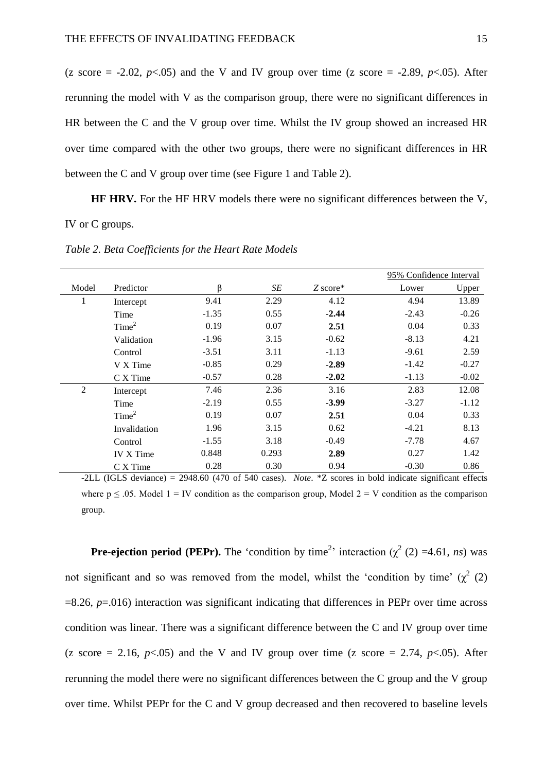(z score  $= -2.02$ ,  $p < .05$ ) and the V and IV group over time (z score  $= -2.89$ ,  $p < .05$ ). After rerunning the model with V as the comparison group, there were no significant differences in HR between the C and the V group over time. Whilst the IV group showed an increased HR over time compared with the other two groups, there were no significant differences in HR between the C and V group over time (see Figure 1 and Table 2).

**HF HRV.** For the HF HRV models there were no significant differences between the V, IV or C groups.

|                |                   |         |       |            |         | 95% Confidence Interval |  |
|----------------|-------------------|---------|-------|------------|---------|-------------------------|--|
| Model          | Predictor         | β       | SE    | $Z$ score* | Lower   | Upper                   |  |
| 1              | Intercept         | 9.41    | 2.29  | 4.12       | 4.94    | 13.89                   |  |
|                | Time              | $-1.35$ | 0.55  | $-2.44$    | $-2.43$ | $-0.26$                 |  |
|                | Time <sup>2</sup> | 0.19    | 0.07  | 2.51       | 0.04    | 0.33                    |  |
|                | Validation        | $-1.96$ | 3.15  | $-0.62$    | $-8.13$ | 4.21                    |  |
|                | Control           | $-3.51$ | 3.11  | $-1.13$    | $-9.61$ | 2.59                    |  |
|                | V X Time          | $-0.85$ | 0.29  | $-2.89$    | $-1.42$ | $-0.27$                 |  |
|                | C X Time          | $-0.57$ | 0.28  | $-2.02$    | $-1.13$ | $-0.02$                 |  |
| $\overline{2}$ | Intercept         | 7.46    | 2.36  | 3.16       | 2.83    | 12.08                   |  |
|                | Time              | $-2.19$ | 0.55  | $-3.99$    | $-3.27$ | $-1.12$                 |  |
|                | Time <sup>2</sup> | 0.19    | 0.07  | 2.51       | 0.04    | 0.33                    |  |
|                | Invalidation      | 1.96    | 3.15  | 0.62       | $-4.21$ | 8.13                    |  |
|                | Control           | $-1.55$ | 3.18  | $-0.49$    | $-7.78$ | 4.67                    |  |
|                | <b>IV X Time</b>  | 0.848   | 0.293 | 2.89       | 0.27    | 1.42                    |  |
|                | C X Time          | 0.28    | 0.30  | 0.94       | $-0.30$ | 0.86                    |  |

*Table 2. Beta Coefficients for the Heart Rate Models*

-2LL (IGLS deviance) = 2948.60 (470 of 540 cases). *Note*. \*Z scores in bold indicate significant effects where  $p \le 0.05$ . Model  $1 = IV$  condition as the comparison group, Model  $2 = V$  condition as the comparison group.

**Pre-ejection period (PEPr).** The 'condition by time<sup>2</sup>' interaction  $(\chi^2(2)) = 4.61$ , *ns*) was not significant and so was removed from the model, whilst the 'condition by time'  $(\chi^2$  (2) =8.26, *p*=.016) interaction was significant indicating that differences in PEPr over time across condition was linear. There was a significant difference between the C and IV group over time (z score  $= 2.16$ ,  $p \le 0.05$ ) and the V and IV group over time (z score  $= 2.74$ ,  $p \le 0.05$ ). After rerunning the model there were no significant differences between the C group and the V group over time. Whilst PEPr for the C and V group decreased and then recovered to baseline levels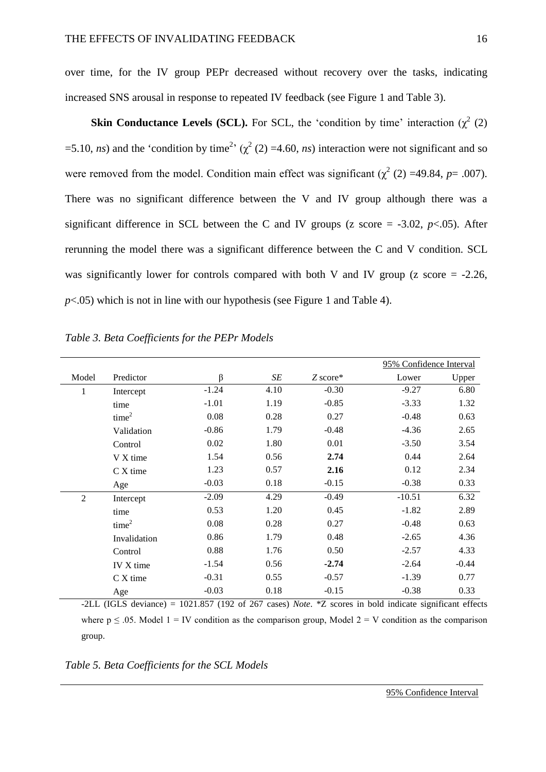over time, for the IV group PEPr decreased without recovery over the tasks, indicating increased SNS arousal in response to repeated IV feedback (see Figure 1 and Table 3).

**Skin Conductance Levels (SCL).** For SCL, the 'condition by time' interaction  $(\chi^2 (2))$ =5.10, *ns*) and the 'condition by time<sup>2</sup>' ( $\chi^2$  (2) =4.60, *ns*) interaction were not significant and so were removed from the model. Condition main effect was significant ( $\chi^2$  (2) =49.84, *p*= .007). There was no significant difference between the V and IV group although there was a significant difference in SCL between the C and IV groups ( $\alpha$  score = -3.02,  $p<0.05$ ). After rerunning the model there was a significant difference between the C and V condition. SCL was significantly lower for controls compared with both V and IV group ( $z$  score = -2.26, *p*<.05) which is not in line with our hypothesis (see Figure 1 and Table 4).

|                |                   |         |      |            |          | 95% Confidence Interval |  |
|----------------|-------------------|---------|------|------------|----------|-------------------------|--|
| Model          | Predictor         | $\beta$ | SE   | $Z$ score* | Lower    | Upper                   |  |
| 1              | Intercept         | $-1.24$ | 4.10 | $-0.30$    | $-9.27$  | 6.80                    |  |
|                | time              | $-1.01$ | 1.19 | $-0.85$    | $-3.33$  | 1.32                    |  |
|                | time <sup>2</sup> | 0.08    | 0.28 | 0.27       | $-0.48$  | 0.63                    |  |
|                | Validation        | $-0.86$ | 1.79 | $-0.48$    | $-4.36$  | 2.65                    |  |
|                | Control           | 0.02    | 1.80 | 0.01       | $-3.50$  | 3.54                    |  |
|                | V X time          | 1.54    | 0.56 | 2.74       | 0.44     | 2.64                    |  |
|                | $C X$ time        | 1.23    | 0.57 | 2.16       | 0.12     | 2.34                    |  |
|                | Age               | $-0.03$ | 0.18 | $-0.15$    | $-0.38$  | 0.33                    |  |
| $\overline{2}$ | Intercept         | $-2.09$ | 4.29 | $-0.49$    | $-10.51$ | 6.32                    |  |
|                | time              | 0.53    | 1.20 | 0.45       | $-1.82$  | 2.89                    |  |
|                | time <sup>2</sup> | 0.08    | 0.28 | 0.27       | $-0.48$  | 0.63                    |  |
|                | Invalidation      | 0.86    | 1.79 | 0.48       | $-2.65$  | 4.36                    |  |
|                | Control           | 0.88    | 1.76 | 0.50       | $-2.57$  | 4.33                    |  |
|                | IV X time         | $-1.54$ | 0.56 | $-2.74$    | $-2.64$  | $-0.44$                 |  |
|                | $C X$ time        | $-0.31$ | 0.55 | $-0.57$    | $-1.39$  | 0.77                    |  |
|                | Age               | $-0.03$ | 0.18 | $-0.15$    | $-0.38$  | 0.33                    |  |

*Table 3. Beta Coefficients for the PEPr Models*

-2LL (IGLS deviance) = 1021.857 (192 of 267 cases) *Note*. \*Z scores in bold indicate significant effects where  $p \le 0.05$ . Model  $1 = IV$  condition as the comparison group. Model  $2 = V$  condition as the comparison group.

*Table 5. Beta Coefficients for the SCL Models*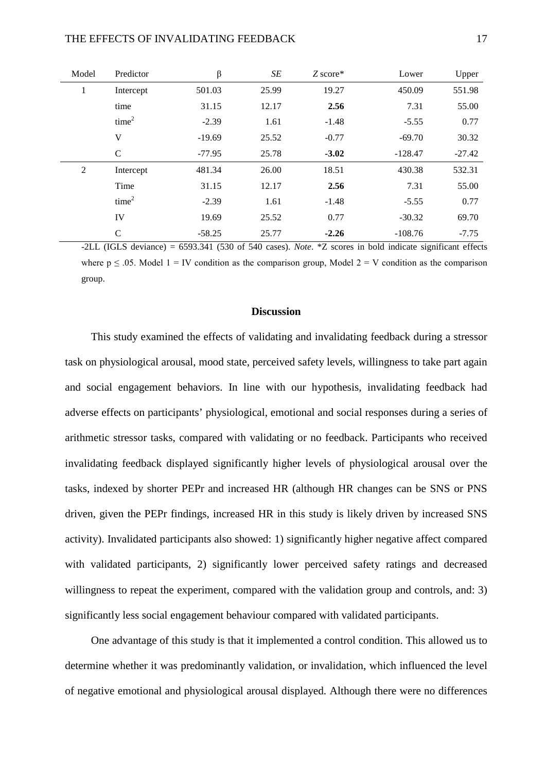### THE EFFECTS OF INVALIDATING FEEDBACK 17

| Model          | Predictor         | $\beta$  | SE    | $Z$ score* | Lower     | Upper    |
|----------------|-------------------|----------|-------|------------|-----------|----------|
| 1              | Intercept         | 501.03   | 25.99 | 19.27      | 450.09    | 551.98   |
|                | time              | 31.15    | 12.17 | 2.56       | 7.31      | 55.00    |
|                | time <sup>2</sup> | $-2.39$  | 1.61  | $-1.48$    | $-5.55$   | 0.77     |
|                | V                 | $-19.69$ | 25.52 | $-0.77$    | $-69.70$  | 30.32    |
|                | $\mathcal{C}$     | $-77.95$ | 25.78 | $-3.02$    | $-128.47$ | $-27.42$ |
| $\overline{2}$ | Intercept         | 481.34   | 26.00 | 18.51      | 430.38    | 532.31   |
|                | Time              | 31.15    | 12.17 | 2.56       | 7.31      | 55.00    |
|                | time <sup>2</sup> | $-2.39$  | 1.61  | $-1.48$    | $-5.55$   | 0.77     |
|                | IV                | 19.69    | 25.52 | 0.77       | $-30.32$  | 69.70    |
|                | $\mathcal{C}$     | $-58.25$ | 25.77 | $-2.26$    | $-108.76$ | $-7.75$  |

-2LL (IGLS deviance) = 6593.341 (530 of 540 cases). *Note*. \*Z scores in bold indicate significant effects where  $p \le 0.05$ . Model  $1 = IV$  condition as the comparison group, Model  $2 = V$  condition as the comparison group.

### **Discussion**

This study examined the effects of validating and invalidating feedback during a stressor task on physiological arousal, mood state, perceived safety levels, willingness to take part again and social engagement behaviors. In line with our hypothesis, invalidating feedback had adverse effects on participants' physiological, emotional and social responses during a series of arithmetic stressor tasks, compared with validating or no feedback. Participants who received invalidating feedback displayed significantly higher levels of physiological arousal over the tasks, indexed by shorter PEPr and increased HR (although HR changes can be SNS or PNS driven, given the PEPr findings, increased HR in this study is likely driven by increased SNS activity). Invalidated participants also showed: 1) significantly higher negative affect compared with validated participants, 2) significantly lower perceived safety ratings and decreased willingness to repeat the experiment, compared with the validation group and controls, and: 3) significantly less social engagement behaviour compared with validated participants.

One advantage of this study is that it implemented a control condition. This allowed us to determine whether it was predominantly validation, or invalidation, which influenced the level of negative emotional and physiological arousal displayed. Although there were no differences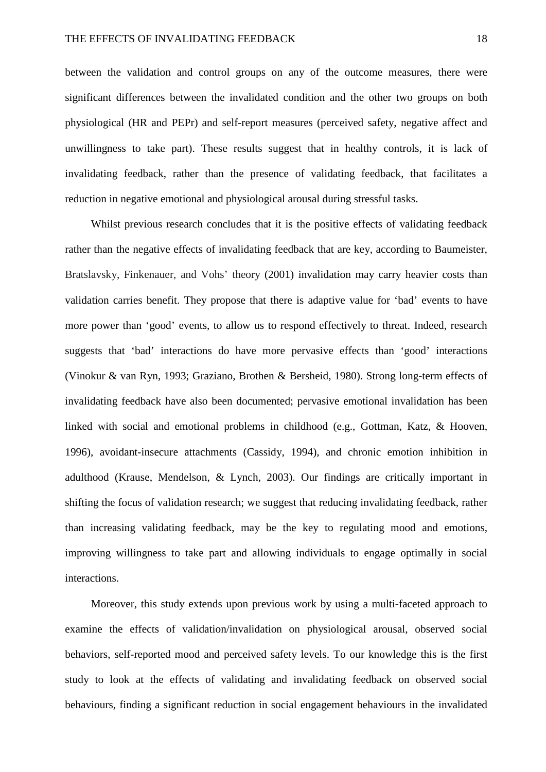between the validation and control groups on any of the outcome measures, there were significant differences between the invalidated condition and the other two groups on both physiological (HR and PEPr) and self-report measures (perceived safety, negative affect and unwillingness to take part). These results suggest that in healthy controls, it is lack of invalidating feedback, rather than the presence of validating feedback, that facilitates a reduction in negative emotional and physiological arousal during stressful tasks.

Whilst previous research concludes that it is the positive effects of validating feedback rather than the negative effects of invalidating feedback that are key, according to Baumeister, Bratslavsky, Finkenauer, and Vohs' theory (2001) invalidation may carry heavier costs than validation carries benefit. They propose that there is adaptive value for 'bad' events to have more power than 'good' events, to allow us to respond effectively to threat. Indeed, research suggests that 'bad' interactions do have more pervasive effects than 'good' interactions (Vinokur & van Ryn, 1993; Graziano, Brothen & Bersheid, 1980). Strong long-term effects of invalidating feedback have also been documented; pervasive emotional invalidation has been linked with social and emotional problems in childhood (e.g., Gottman, Katz, & Hooven, 1996), avoidant-insecure attachments (Cassidy, 1994), and chronic emotion inhibition in adulthood (Krause, Mendelson, & Lynch, 2003). Our findings are critically important in shifting the focus of validation research; we suggest that reducing invalidating feedback, rather than increasing validating feedback, may be the key to regulating mood and emotions, improving willingness to take part and allowing individuals to engage optimally in social interactions.

Moreover, this study extends upon previous work by using a multi-faceted approach to examine the effects of validation/invalidation on physiological arousal, observed social behaviors, self-reported mood and perceived safety levels. To our knowledge this is the first study to look at the effects of validating and invalidating feedback on observed social behaviours, finding a significant reduction in social engagement behaviours in the invalidated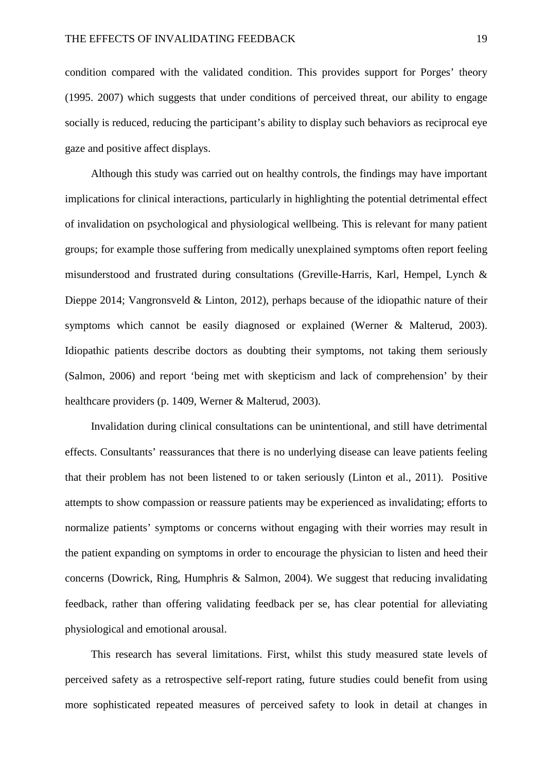condition compared with the validated condition. This provides support for Porges' theory (1995. 2007) which suggests that under conditions of perceived threat, our ability to engage socially is reduced, reducing the participant's ability to display such behaviors as reciprocal eye gaze and positive affect displays.

Although this study was carried out on healthy controls, the findings may have important implications for clinical interactions, particularly in highlighting the potential detrimental effect of invalidation on psychological and physiological wellbeing. This is relevant for many patient groups; for example those suffering from medically unexplained symptoms often report feeling misunderstood and frustrated during consultations (Greville-Harris, Karl, Hempel, Lynch & Dieppe 2014; Vangronsveld & Linton, 2012), perhaps because of the idiopathic nature of their symptoms which cannot be easily diagnosed or explained (Werner & Malterud, 2003). Idiopathic patients describe doctors as doubting their symptoms, not taking them seriously (Salmon, 2006) and report 'being met with skepticism and lack of comprehension' by their healthcare providers (p. 1409, Werner & Malterud, 2003).

Invalidation during clinical consultations can be unintentional, and still have detrimental effects. Consultants' reassurances that there is no underlying disease can leave patients feeling that their problem has not been listened to or taken seriously (Linton et al., 2011). Positive attempts to show compassion or reassure patients may be experienced as invalidating; efforts to normalize patients' symptoms or concerns without engaging with their worries may result in the patient expanding on symptoms in order to encourage the physician to listen and heed their concerns (Dowrick, Ring, Humphris & Salmon, 2004). We suggest that reducing invalidating feedback, rather than offering validating feedback per se, has clear potential for alleviating physiological and emotional arousal.

This research has several limitations. First, whilst this study measured state levels of perceived safety as a retrospective self-report rating, future studies could benefit from using more sophisticated repeated measures of perceived safety to look in detail at changes in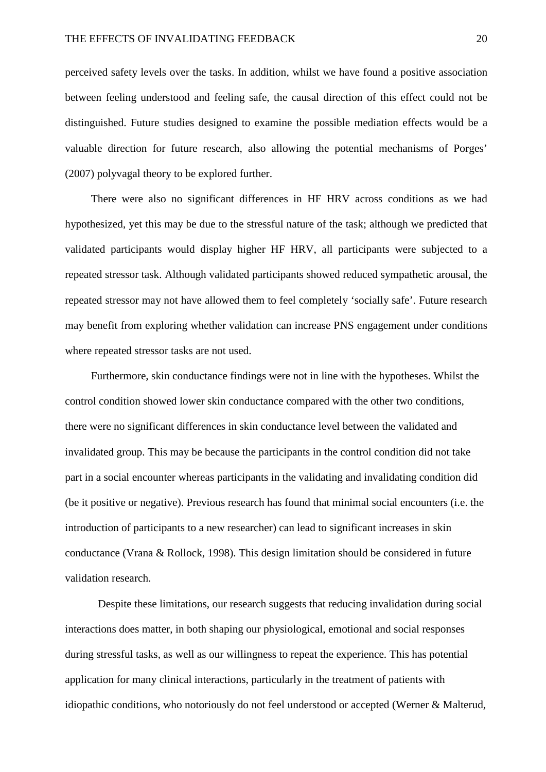perceived safety levels over the tasks. In addition, whilst we have found a positive association between feeling understood and feeling safe, the causal direction of this effect could not be distinguished. Future studies designed to examine the possible mediation effects would be a valuable direction for future research, also allowing the potential mechanisms of Porges' (2007) polyvagal theory to be explored further.

There were also no significant differences in HF HRV across conditions as we had hypothesized, yet this may be due to the stressful nature of the task; although we predicted that validated participants would display higher HF HRV, all participants were subjected to a repeated stressor task. Although validated participants showed reduced sympathetic arousal, the repeated stressor may not have allowed them to feel completely 'socially safe'. Future research may benefit from exploring whether validation can increase PNS engagement under conditions where repeated stressor tasks are not used.

Furthermore, skin conductance findings were not in line with the hypotheses. Whilst the control condition showed lower skin conductance compared with the other two conditions, there were no significant differences in skin conductance level between the validated and invalidated group. This may be because the participants in the control condition did not take part in a social encounter whereas participants in the validating and invalidating condition did (be it positive or negative). Previous research has found that minimal social encounters (i.e. the introduction of participants to a new researcher) can lead to significant increases in skin conductance (Vrana & Rollock, 1998). This design limitation should be considered in future validation research.

Despite these limitations, our research suggests that reducing invalidation during social interactions does matter, in both shaping our physiological, emotional and social responses during stressful tasks, as well as our willingness to repeat the experience. This has potential application for many clinical interactions, particularly in the treatment of patients with idiopathic conditions, who notoriously do not feel understood or accepted (Werner & Malterud,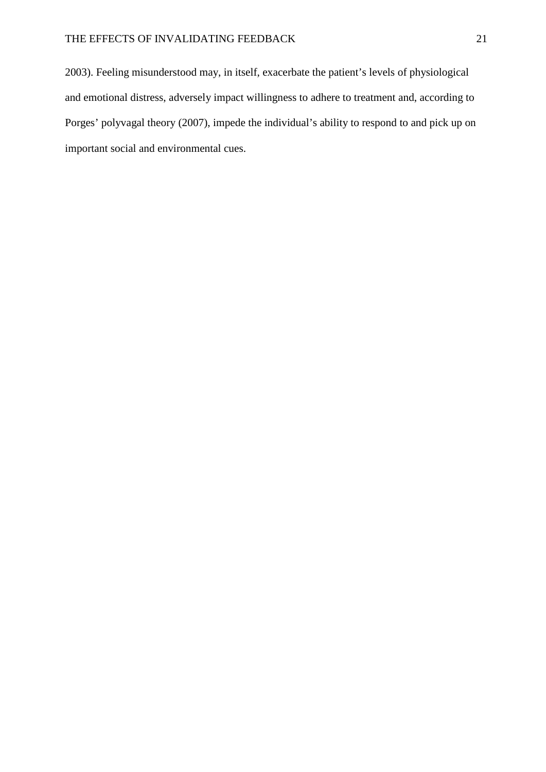2003). Feeling misunderstood may, in itself, exacerbate the patient's levels of physiological and emotional distress, adversely impact willingness to adhere to treatment and, according to Porges' polyvagal theory (2007), impede the individual's ability to respond to and pick up on important social and environmental cues.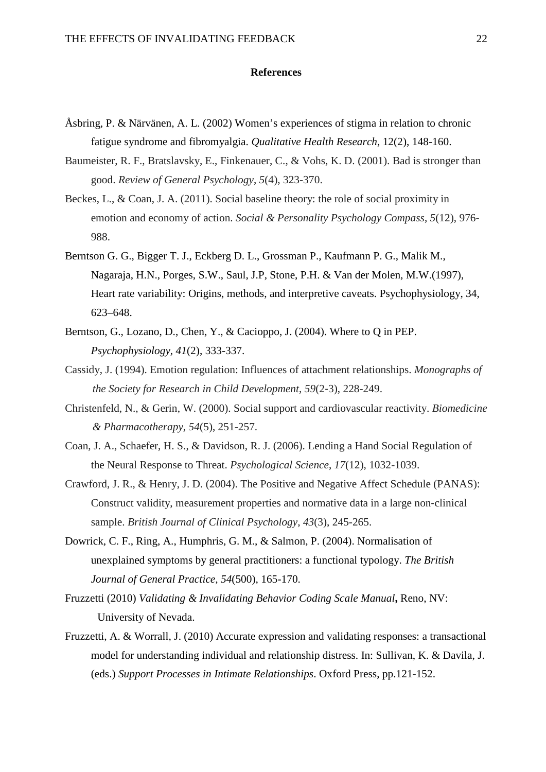### **References**

- Åsbring, P. & Närvänen, A. L. (2002) Women's experiences of stigma in relation to chronic fatigue syndrome and fibromyalgia. *Qualitative Health Research*, 12(2), 148-160.
- Baumeister, R. F., Bratslavsky, E., Finkenauer, C., & Vohs, K. D. (2001). Bad is stronger than good. *Review of General Psychology*, *5*(4), 323-370.
- Beckes, L., & Coan, J. A. (2011). Social baseline theory: the role of social proximity in emotion and economy of action. *Social & Personality Psychology Compass*, *5*(12), 976- 988.
- Berntson G. G., Bigger T. J., Eckberg D. L., Grossman P., Kaufmann P. G., Malik M., Nagaraja, H.N., Porges, S.W., Saul, J.P, Stone, P.H. & Van der Molen, M.W.(1997), Heart rate variability: Origins, methods, and interpretive caveats. Psychophysiology, 34, 623–648.
- Berntson, G., Lozano, D., Chen, Y., & Cacioppo, J. (2004). Where to Q in PEP. *Psychophysiology, 41*(2), 333-337.
- Cassidy, J. (1994). Emotion regulation: Influences of attachment relationships. *Monographs of the Society for Research in Child Development*, *59*(2‐3), 228-249.
- Christenfeld, N., & Gerin, W. (2000). Social support and cardiovascular reactivity. *Biomedicine & Pharmacotherapy*, *54*(5), 251-257.
- Coan, J. A., Schaefer, H. S., & Davidson, R. J. (2006). Lending a Hand Social Regulation of the Neural Response to Threat. *Psychological Science*, *17*(12), 1032-1039.
- Crawford, J. R., & Henry, J. D. (2004). The Positive and Negative Affect Schedule (PANAS): Construct validity, measurement properties and normative data in a large non‐clinical sample. *British Journal of Clinical Psychology*, *43*(3), 245-265.
- Dowrick, C. F., Ring, A., Humphris, G. M., & Salmon, P. (2004). Normalisation of unexplained symptoms by general practitioners: a functional typology. *The British Journal of General Practice, 54*(500), 165-170.
- Fruzzetti (2010) *Validating & Invalidating Behavior Coding Scale Manual***,** Reno, NV: University of Nevada.
- Fruzzetti, A. & Worrall, J. (2010) Accurate expression and validating responses: a transactional model for understanding individual and relationship distress. In: Sullivan, K. & Davila, J. (eds.) *Support Processes in Intimate Relationships*. Oxford Press, pp.121-152.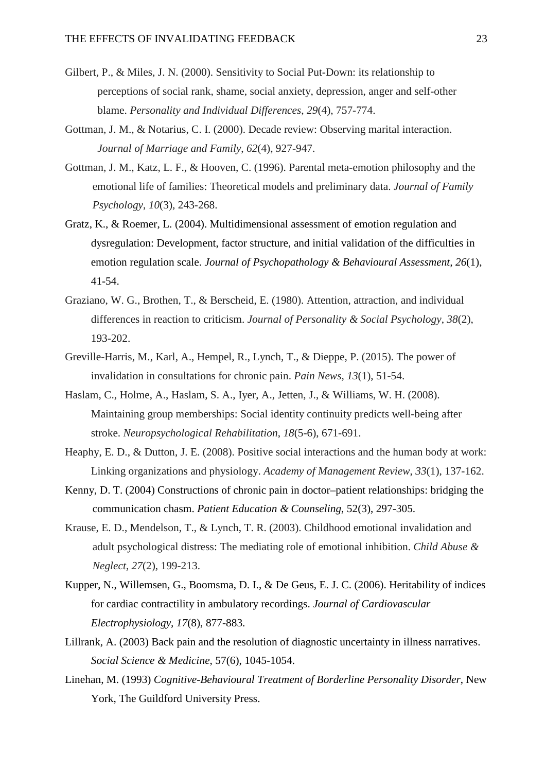- Gilbert, P., & Miles, J. N. (2000). Sensitivity to Social Put-Down: its relationship to perceptions of social rank, shame, social anxiety, depression, anger and self-other blame. *Personality and Individual Differences*, *29*(4), 757-774.
- Gottman, J. M., & Notarius, C. I. (2000). Decade review: Observing marital interaction. *Journal of Marriage and Family*, *62*(4), 927-947.
- Gottman, J. M., Katz, L. F., & Hooven, C. (1996). Parental meta-emotion philosophy and the emotional life of families: Theoretical models and preliminary data. *Journal of Family Psychology*, *10*(3), 243-268.
- Gratz, K., & Roemer, L. (2004). Multidimensional assessment of emotion regulation and dysregulation: Development, factor structure, and initial validation of the difficulties in emotion regulation scale. *Journal of Psychopathology & Behavioural Assessment, 26*(1), 41-54.
- Graziano, W. G., Brothen, T., & Berscheid, E. (1980). Attention, attraction, and individual differences in reaction to criticism. *Journal of Personality & Social Psychology*, *38*(2), 193-202.
- Greville-Harris, M., Karl, A., Hempel, R., Lynch, T., & Dieppe, P. (2015). The power of invalidation in consultations for chronic pain. *Pain News, 13*(1), 51-54.
- Haslam, C., Holme, A., Haslam, S. A., Iyer, A., Jetten, J., & Williams, W. H. (2008). Maintaining group memberships: Social identity continuity predicts well-being after stroke. *Neuropsychological Rehabilitation*, *18*(5-6), 671-691.
- Heaphy, E. D., & Dutton, J. E. (2008). Positive social interactions and the human body at work: Linking organizations and physiology. *Academy of Management Review*, *33*(1), 137-162.
- Kenny, D. T. (2004) Constructions of chronic pain in doctor–patient relationships: bridging the communication chasm. *Patient Education & Counseling*, 52(3), 297-305.
- Krause, E. D., Mendelson, T., & Lynch, T. R. (2003). Childhood emotional invalidation and adult psychological distress: The mediating role of emotional inhibition. *Child Abuse & Neglect*, *27*(2), 199-213.
- Kupper, N., Willemsen, G., Boomsma, D. I., & De Geus, E. J. C. (2006). Heritability of indices for cardiac contractility in ambulatory recordings. *Journal of Cardiovascular Electrophysiology, 17*(8), 877-883.
- Lillrank, A. (2003) Back pain and the resolution of diagnostic uncertainty in illness narratives. *Social Science & Medicine*, 57(6), 1045-1054.
- Linehan, M. (1993) *Cognitive-Behavioural Treatment of Borderline Personality Disorder*, New York, The Guildford University Press.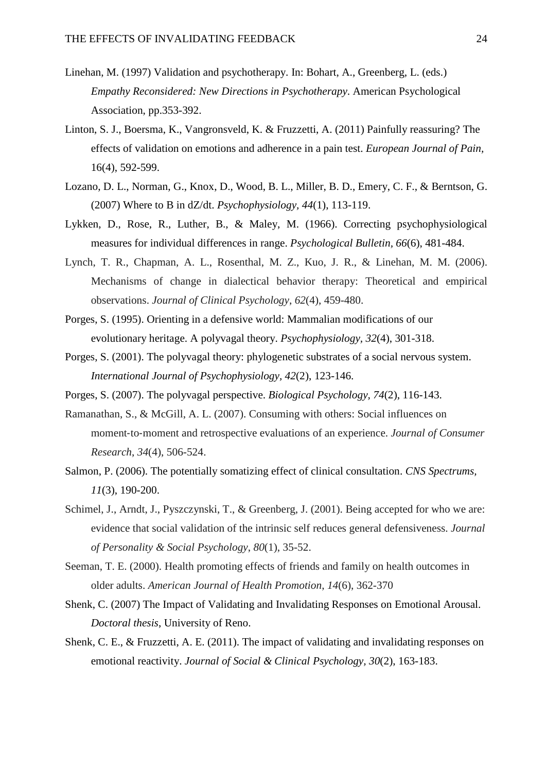- Linehan, M. (1997) Validation and psychotherapy. In: Bohart, A., Greenberg, L. (eds.) *Empathy Reconsidered: New Directions in Psychotherapy*. American Psychological Association, pp.353-392.
- Linton, S. J., Boersma, K., Vangronsveld, K. & Fruzzetti, A. (2011) Painfully reassuring? The effects of validation on emotions and adherence in a pain test. *European Journal of Pain,*  16(4), 592-599.
- Lozano, D. L., Norman, G., Knox, D., Wood, B. L., Miller, B. D., Emery, C. F., & Berntson, G. (2007) Where to B in dZ/dt. *Psychophysiology, 44*(1), 113-119.
- Lykken, D., Rose, R., Luther, B., & Maley, M. (1966). Correcting psychophysiological measures for individual differences in range. *Psychological Bulletin, 66*(6), 481-484.
- Lynch, T. R., Chapman, A. L., Rosenthal, M. Z., Kuo, J. R., & Linehan, M. M. (2006). Mechanisms of change in dialectical behavior therapy: Theoretical and empirical observations. *Journal of Clinical Psychology*, *62*(4), 459-480.
- Porges, S. (1995). Orienting in a defensive world: Mammalian modifications of our evolutionary heritage. A polyvagal theory. *Psychophysiology, 32*(4), 301-318.
- Porges, S. (2001). The polyvagal theory: phylogenetic substrates of a social nervous system. *International Journal of Psychophysiology, 42*(2), 123-146.
- Porges, S. (2007). The polyvagal perspective. *Biological Psychology, 74*(2), 116-143.
- Ramanathan, S., & McGill, A. L. (2007). Consuming with others: Social influences on moment‐to‐moment and retrospective evaluations of an experience. *Journal of Consumer Research*, *34*(4), 506-524.
- Salmon, P. (2006). The potentially somatizing effect of clinical consultation. *CNS Spectrums, 11*(3), 190-200.
- Schimel, J., Arndt, J., Pyszczynski, T., & Greenberg, J. (2001). Being accepted for who we are: evidence that social validation of the intrinsic self reduces general defensiveness. *Journal of Personality & Social Psychology*, *80*(1), 35-52.
- Seeman, T. E. (2000). Health promoting effects of friends and family on health outcomes in older adults. *American Journal of Health Promotion*, *14*(6), 362-370
- Shenk, C. (2007) The Impact of Validating and Invalidating Responses on Emotional Arousal. *Doctoral thesis*, University of Reno.
- Shenk, C. E., & Fruzzetti, A. E. (2011). The impact of validating and invalidating responses on emotional reactivity. *Journal of Social & Clinical Psychology, 30*(2), 163-183.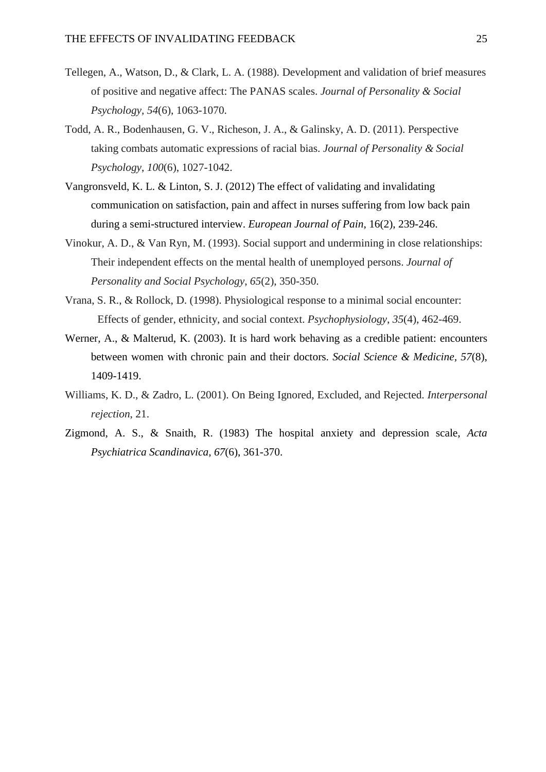- Tellegen, A., Watson, D., & Clark, L. A. (1988). Development and validation of brief measures of positive and negative affect: The PANAS scales. *Journal of Personality & Social Psychology, 54*(6), 1063-1070.
- Todd, A. R., Bodenhausen, G. V., Richeson, J. A., & Galinsky, A. D. (2011). Perspective taking combats automatic expressions of racial bias. *Journal of Personality & Social Psychology*, *100*(6), 1027-1042.
- Vangronsveld, K. L. & Linton, S. J. (2012) The effect of validating and invalidating communication on satisfaction, pain and affect in nurses suffering from low back pain during a semi-structured interview. *European Journal of Pain*, 16(2), 239-246.
- Vinokur, A. D., & Van Ryn, M. (1993). Social support and undermining in close relationships: Their independent effects on the mental health of unemployed persons. *Journal of Personality and Social Psychology*, *65*(2), 350-350.
- Vrana, S. R., & Rollock, D. (1998). Physiological response to a minimal social encounter: Effects of gender, ethnicity, and social context. *Psychophysiology*, *35*(4), 462-469.
- Werner, A., & Malterud, K. (2003). It is hard work behaving as a credible patient: encounters between women with chronic pain and their doctors. *Social Science & Medicine, 57*(8), 1409-1419.
- Williams, K. D., & Zadro, L. (2001). On Being Ignored, Excluded, and Rejected. *Interpersonal rejection*, 21.
- Zigmond, A. S., & Snaith, R. (1983) The hospital anxiety and depression scale, *Acta Psychiatrica Scandinavica, 67*(6), 361-370.